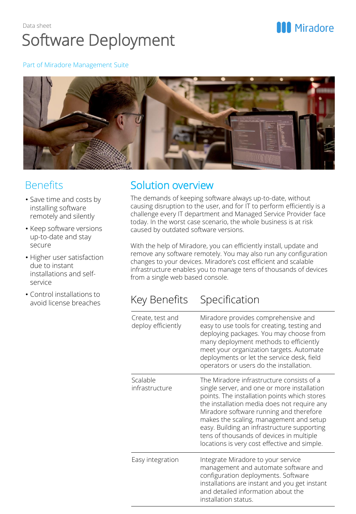### Data sheet Software Deployment

# **MI** Miradore

#### Part of Miradore Management Suite



#### **Benefits**

- Save time and costs by installing software remotely and silently
- Keep software versions up-to-date and stay secure
- Higher user satisfaction due to instant installations and selfservice
- Control installations to avoid license breaches

### Solution overview

The demands of keeping software always up-to-date, without causing disruption to the user, and for IT to perform efficiently is a challenge every IT department and Managed Service Provider face today. In the worst case scenario, the whole business is at risk caused by outdated software versions.

With the help of Miradore, you can efficiently install, update and remove any software remotely. You may also run any configuration changes to your devices. Miradore's cost efficient and scalable infrastructure enables you to manage tens of thousands of devices from a single web based console.

### Key Benefits Specification

| Create, test and<br>deploy efficiently | Miradore provides comprehensive and<br>easy to use tools for creating, testing and<br>deploying packages. You may choose from<br>many deployment methods to efficiently<br>meet your organization targets. Automate<br>deployments or let the service desk, field<br>operators or users do the installation.                                                                                                             |
|----------------------------------------|--------------------------------------------------------------------------------------------------------------------------------------------------------------------------------------------------------------------------------------------------------------------------------------------------------------------------------------------------------------------------------------------------------------------------|
| Scalable<br>infrastructure             | The Miradore infrastructure consists of a<br>single server, and one or more installation<br>points. The installation points which stores<br>the installation media does not require any<br>Miradore software running and therefore<br>makes the scaling, management and setup<br>easy. Building an infrastructure supporting<br>tens of thousands of devices in multiple<br>locations is very cost effective and simple. |
| Easy integration                       | Integrate Miradore to your service<br>management and automate software and<br>configuration deployments. Software<br>installations are instant and you get instant<br>and detailed information about the<br>installation status.                                                                                                                                                                                         |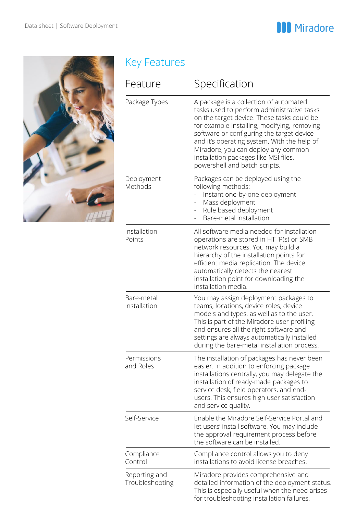



# Key Features

| Feature                          | Specification                                                                                                                                                                                                                                                                                                                                                                                  |
|----------------------------------|------------------------------------------------------------------------------------------------------------------------------------------------------------------------------------------------------------------------------------------------------------------------------------------------------------------------------------------------------------------------------------------------|
| Package Types                    | A package is a collection of automated<br>tasks used to perform administrative tasks<br>on the target device. These tasks could be<br>for example installing, modifying, removing<br>software or configuring the target device<br>and it's operating system. With the help of<br>Miradore, you can deploy any common<br>installation packages like MSI files,<br>powershell and batch scripts. |
| Deployment<br>Methods            | Packages can be deployed using the<br>following methods:<br>Instant one-by-one deployment<br>Mass deployment<br>Rule based deployment<br>Bare-metal installation                                                                                                                                                                                                                               |
| Installation<br>Points           | All software media needed for installation<br>operations are stored in HTTP(s) or SMB<br>network resources. You may build a<br>hierarchy of the installation points for<br>efficient media replication. The device<br>automatically detects the nearest<br>installation point for downloading the<br>installation media.                                                                       |
| Bare-metal<br>Installation       | You may assign deployment packages to<br>teams, locations, device roles, device<br>models and types, as well as to the user.<br>This is part of the Miradore user profiling<br>and ensures all the right software and<br>settings are always automatically installed<br>during the bare-metal installation process.                                                                            |
| Permissions<br>and Roles         | The installation of packages has never been<br>easier. In addition to enforcing package<br>installations centrally, you may delegate the<br>installation of ready-made packages to<br>service desk, field operators, and end-<br>users. This ensures high user satisfaction<br>and service quality.                                                                                            |
| Self-Service                     | Enable the Miradore Self-Service Portal and<br>let users' install software. You may include<br>the approval requirement process before<br>the software can be installed.                                                                                                                                                                                                                       |
| Compliance<br>Control            | Compliance control allows you to deny<br>installations to avoid license breaches.                                                                                                                                                                                                                                                                                                              |
| Reporting and<br>Troubleshooting | Miradore provides comprehensive and<br>detailed information of the deployment status.<br>This is especially useful when the need arises<br>for troubleshooting installation failures.                                                                                                                                                                                                          |